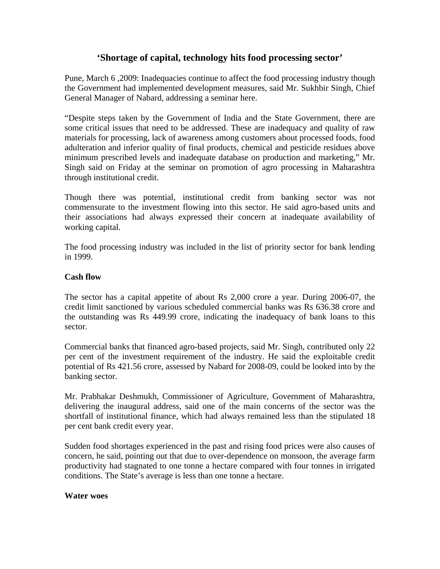# **'Shortage of capital, technology hits food processing sector'**

Pune, March 6 ,2009: Inadequacies continue to affect the food processing industry though the Government had implemented development measures, said Mr. Sukhbir Singh, Chief General Manager of Nabard, addressing a seminar here.

"Despite steps taken by the Government of India and the State Government, there are some critical issues that need to be addressed. These are inadequacy and quality of raw materials for processing, lack of awareness among customers about processed foods, food adulteration and inferior quality of final products, chemical and pesticide residues above minimum prescribed levels and inadequate database on production and marketing," Mr. Singh said on Friday at the seminar on promotion of agro processing in Maharashtra through institutional credit.

Though there was potential, institutional credit from banking sector was not commensurate to the investment flowing into this sector. He said agro-based units and their associations had always expressed their concern at inadequate availability of working capital.

The food processing industry was included in the list of priority sector for bank lending in 1999.

### **Cash flow**

The sector has a capital appetite of about Rs 2,000 crore a year. During 2006-07, the credit limit sanctioned by various scheduled commercial banks was Rs 636.38 crore and the outstanding was Rs 449.99 crore, indicating the inadequacy of bank loans to this sector.

Commercial banks that financed agro-based projects, said Mr. Singh, contributed only 22 per cent of the investment requirement of the industry. He said the exploitable credit potential of Rs 421.56 crore, assessed by Nabard for 2008-09, could be looked into by the banking sector.

Mr. Prabhakar Deshmukh, Commissioner of Agriculture, Government of Maharashtra, delivering the inaugural address, said one of the main concerns of the sector was the shortfall of institutional finance, which had always remained less than the stipulated 18 per cent bank credit every year.

Sudden food shortages experienced in the past and rising food prices were also causes of concern, he said, pointing out that due to over-dependence on monsoon, the average farm productivity had stagnated to one tonne a hectare compared with four tonnes in irrigated conditions. The State's average is less than one tonne a hectare.

#### **Water woes**